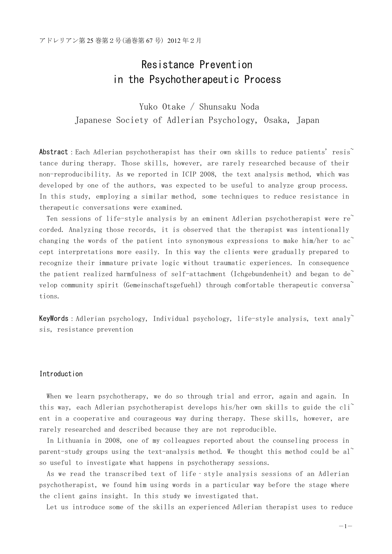# Resistance Prevention in the Psychotherapeutic Process

Yuko Otake / Shunsaku Noda Japanese Society of Adlerian Psychology, Osaka, Japan

Abstract: Each Adlerian psychotherapist has their own skills to reduce patients' resis tance during therapy. Those skills, however, are rarely researched because of their non-reproducibility. As we reported in ICIP 2008, the text analysis method, which was developed by one of the authors, was expected to be useful to analyze group process. In this study, employing a similar method, some techniques to reduce resistance in therapeutic conversations were examined.

Ten sessions of life-style analysis by an eminent Adlerian psychotherapist were  $re^{\sim}$ corded. Analyzing those records, it is observed that the therapist was intentionally changing the words of the patient into synonymous expressions to make him/her to ac cept interpretations more easily. In this way the clients were gradually prepared to recognize their immature private logic without traumatic experiences. In consequence the patient realized harmfulness of self-attachment (Ichgebundenheit) and began to de<sup> $\sim$ </sup> velop community spirit (Gemeinschaftsgefuehl) through comfortable therapeutic conversa~ tions.

**KeyWords**: Adlerian psychology, Individual psychology, life-style analysis, text analy~ sis, resistance prevention

# Introduction

When we learn psychotherapy, we do so through trial and error, again and again. In this way, each Adlerian psychotherapist develops his/her own skills to guide the cli<sup> $\sim$ </sup> ent in a cooperative and courageous way during therapy. These skills, however, are rarely researched and described because they are not reproducible.

In Lithuania in 2008, one of my colleagues reported about the counseling process in parent-study groups using the text-analysis method. We thought this method could be al<sup> $\sim$ </sup> so useful to investigate what happens in psychotherapy sessions.

As we read the transcribed text of life‐style analysis sessions of an Adlerian psychotherapist, we found him using words in a particular way before the stage where the client gains insight. In this study we investigated that.

Let us introduce some of the skills an experienced Adlerian therapist uses to reduce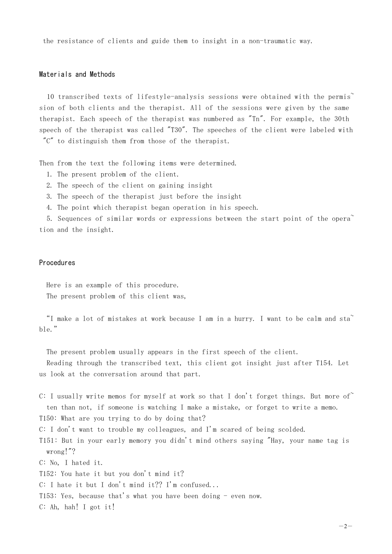the resistance of clients and guide them to insight in a non-traumatic way.

#### Materials and Methods

10 transcribed texts of lifestyle-analysis sessions were obtained with the permis~ sion of both clients and the therapist. All of the sessions were given by the same therapist. Each speech of the therapist was numbered as "Tn". For example, the 30th speech of the therapist was called "T30". The speeches of the client were labeled with "C" to distinguish them from those of the therapist.

Then from the text the following items were determined.

- 1. The present problem of the client.
- 2. The speech of the client on gaining insight
- 3. The speech of the therapist just before the insight
- 4. The point which therapist began operation in his speech.

5. Sequences of similar words or expressions between the start point of the opera<sup> $\tilde{ }$ </sup> tion and the insight.

# Procedures

Here is an example of this procedure. The present problem of this client was,

"I make a lot of mistakes at work because I am in a hurry. I want to be calm and sta~ ble."

The present problem usually appears in the first speech of the client.

Reading through the transcribed text, this client got insight just after T154. Let us look at the conversation around that part.

C: I usually write memos for myself at work so that I don't forget things. But more of ten than not, if someone is watching I make a mistake, or forget to write a memo. T150: What are you trying to do by doing that?

C: I don't want to trouble my colleagues, and I'm scared of being scolded.

T151: But in your early memory you didn't mind others saying "Hay, your name tag is wrong!"?

C: No, I hated it.

T152: You hate it but you don't mind it?

C: I hate it but I don't mind it?? I'm confused...

T153: Yes, because that's what you have been doing - even now.

C: Ah, hah! I got it!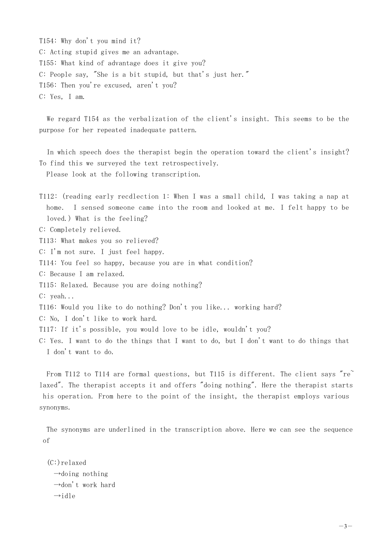T154: Why don't you mind it? C: Acting stupid gives me an advantage. T155: What kind of advantage does it give you? C: People say, "She is a bit stupid, but that's just her." T156: Then you're excused, aren't you? C: Yes, I am.

We regard T154 as the verbalization of the client's insight. This seems to be the purpose for her repeated inadequate pattern.

In which speech does the therapist begin the operation toward the client's insight? To find this we surveyed the text retrospectively.

Please look at the following transcription.

T112: (reading early recdlection 1: When I was a small child, I was taking a nap at home. I sensed someone came into the room and looked at me. I felt happy to be loved.) What is the feeling?

C: Completely relieved.

T113: What makes you so relieved?

C: I'm not sure. I just feel happy.

T114: You feel so happy, because you are in what condition?

C: Because I am relaxed.

T115: Relaxed. Because you are doing nothing?

C: yeah...

T116: Would you like to do nothing? Don't you like... working hard?

C: No, I don't like to work hard.

T117: If it's possible, you would love to be idle, wouldn't you?

C: Yes. I want to do the things that I want to do, but I don't want to do things that I don't want to do.

From T112 to T114 are formal questions, but T115 is different. The client says "re" laxed". The therapist accepts it and offers "doing nothing". Here the therapist starts his operation. From here to the point of the insight, the therapist employs various synonyms.

The synonyms are underlined in the transcription above. Here we can see the sequence of

(C:)relaxed  $\rightarrow$ doing nothing  $\rightarrow$ don't work hard  $\rightarrow$ idle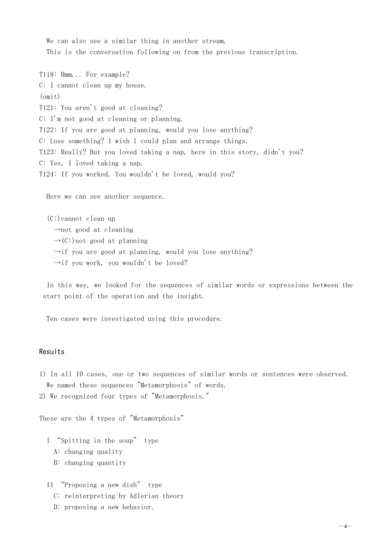We can also see a similar thing in another stream. This is the conversation following on from the previous transcription.

T118: Hmm... For example? C: I cannot clean up my house. (omit) T121: You aren't good at cleaning? C: I'm not good at cleaning or planning. T122: If you are good at planning, would you lose anything? C: Lose something? I wish I could plan and arrange things. T123: Really? But you loved taking a nap, here in this story, didn't you? C: Yes, I loved taking a nap. T124: If you worked, You wouldn't be loved, would you?

Here we can see another sequence.

(C:)cannot clean up  $\rightarrow$ not good at cleaning  $\rightarrow$  (C:) not good at planning  $\rightarrow$ if you are good at planning, would you lose anything?  $\rightarrow$ if you work, you wouldn't be loved?

In this way, we looked for the sequences of similar words or expressions between the start point of the operation and the insight.

Ten cases were investigated using this procedure.

# **Results**

1) In all 10 cases, one or two sequences of similar words or sentences were observed. We named these sequences "Metamorphosis" of words.

```
2) We recognized four types of "Metamorphosis."
```
These are the 4 types of "Metamorphosis"

I "Spitting in the soup" type A: changing quality B: changing quantity

II "Proposing a new dish" type

- C: reinterpreting by Adlerian theory
- D: proposing a new behavior.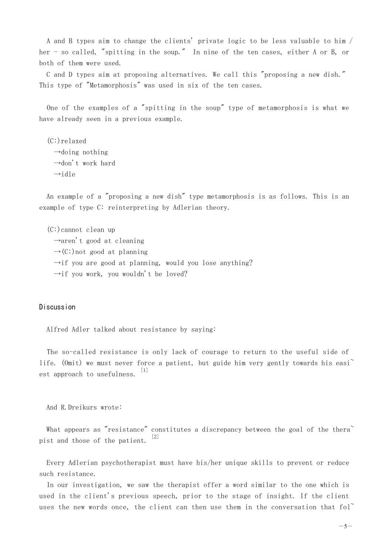A and B types aim to change the clients' private logic to be less valuable to him / her - so called, "spitting in the soup." In nine of the ten cases, either A or B, or both of them were used.

C and D types aim at proposing alternatives. We call this "proposing a new dish." This type of "Metamorphosis" was used in six of the ten cases.

One of the examples of a "spitting in the soup" type of metamorphosis is what we have already seen in a previous example.

(C:)relaxed  $\rightarrow$ doing nothing →don't work hard  $\rightarrow$ idle

An example of a "proposing a new dish" type metamorphosis is as follows. This is an example of type C: reinterpreting by Adlerian theory.

(C:)cannot clean up  $\rightarrow$ aren't good at cleaning  $\rightarrow$  (C:) not good at planning  $\rightarrow$ if you are good at planning, would you lose anything?  $\rightarrow$ if you work, you wouldn't be loved?

# Discussion

Alfred Adler talked about resistance by saying:

The so-called resistance is only lack of courage to return to the useful side of life. (Omit) we must never force a patient, but guide him very gently towards his easi est approach to usefulness. [1]

And R.Dreikurs wrote:

What appears as "resistance" constitutes a discrepancy between the goal of the thera  $\tilde{ }$ pist and those of the patient. [2]

Every Adlerian psychotherapist must have his/her unique skills to prevent or reduce such resistance.

In our investigation, we saw the therapist offer a word similar to the one which is used in the client's previous speech, prior to the stage of insight. If the client uses the new words once, the client can then use them in the conversation that  $fo1^{\sim}$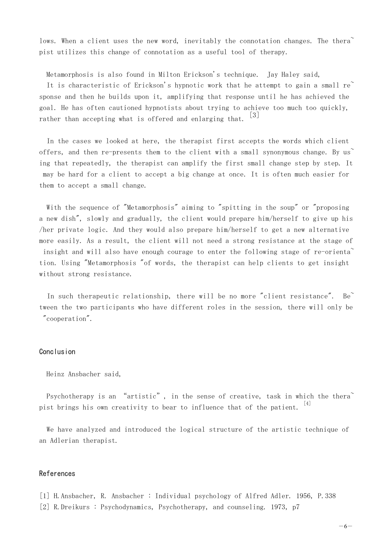lows. When a client uses the new word, inevitably the connotation changes. The thera $\tilde{a}$ pist utilizes this change of connotation as a useful tool of therapy.

Metamorphosis is also found in Milton Erickson's technique. Jay Haley said,

It is characteristic of Erickson's hypnotic work that he attempt to gain a small  $re^{\sim}$ sponse and then he builds upon it, amplifying that response until he has achieved the goal. He has often cautioned hypnotists about trying to achieve too much too quickly, rather than accepting what is offered and enlarging that.  $\begin{bmatrix} 3 \end{bmatrix}$ 

In the cases we looked at here, the therapist first accepts the words which client offers, and then re-presents them to the client with a small synonymous change. By us ing that repeatedly, the therapist can amplify the first small change step by step. It may be hard for a client to accept a big change at once. It is often much easier for them to accept a small change.

With the sequence of "Metamorphosis" aiming to "spitting in the soup" or "proposing a new dish", slowly and gradually, the client would prepare him/herself to give up his /her private logic. And they would also prepare him/herself to get a new alternative more easily. As a result, the client will not need a strong resistance at the stage of insight and will also have enough courage to enter the following stage of re-orienta<sup>\*</sup> tion. Using "Metamorphosis "of words, the therapist can help clients to get insight without strong resistance.

In such therapeutic relationship, there will be no more "client resistance". Be tween the two participants who have different roles in the session, there will only be "cooperation".

### Conclusion

#### Heinz Ansbacher said,

Psychotherapy is an "artistic", in the sense of creative, task in which the thera<sup>"</sup> pist brings his own creativity to bear to influence that of the patient.  $[4]$ 

We have analyzed and introduced the logical structure of the artistic technique of an Adlerian therapist.

## References

[1] H.Ansbacher, R. Ansbacher : Individual psychology of Alfred Adler. 1956, P.338 [2] R.Dreikurs : Psychodynamics, Psychotherapy, and counseling. 1973, p7